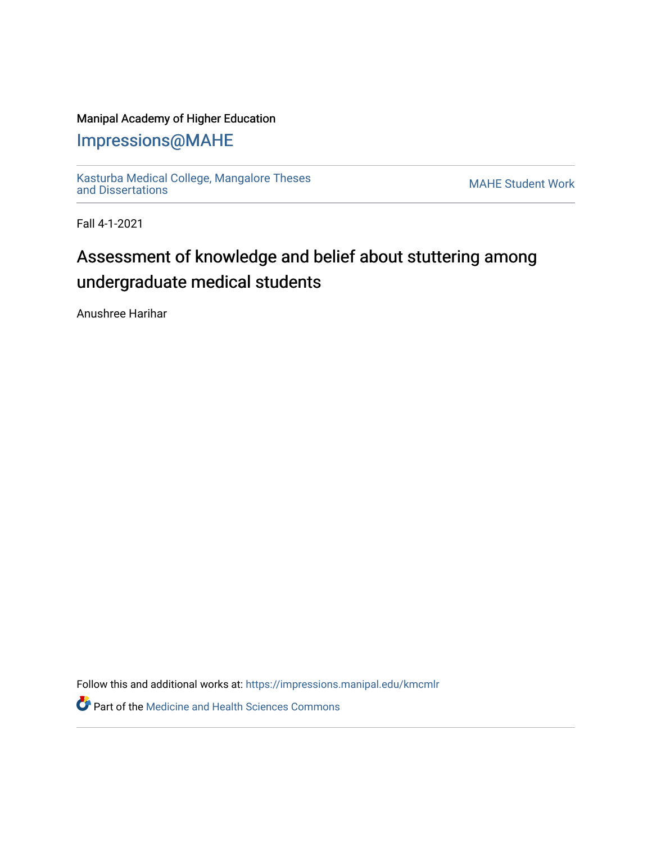# Manipal Academy of Higher Education

# [Impressions@MAHE](https://impressions.manipal.edu/)

[Kasturba Medical College, Mangalore Theses](https://impressions.manipal.edu/kmcmlr) [and Dissertations](https://impressions.manipal.edu/kmcmlr) [MAHE Student Work](https://impressions.manipal.edu/student-work) 

Fall 4-1-2021

# Assessment of knowledge and belief about stuttering among undergraduate medical students

Anushree Harihar

Follow this and additional works at: [https://impressions.manipal.edu/kmcmlr](https://impressions.manipal.edu/kmcmlr?utm_source=impressions.manipal.edu%2Fkmcmlr%2F227&utm_medium=PDF&utm_campaign=PDFCoverPages) 

**Part of the Medicine and Health Sciences Commons**